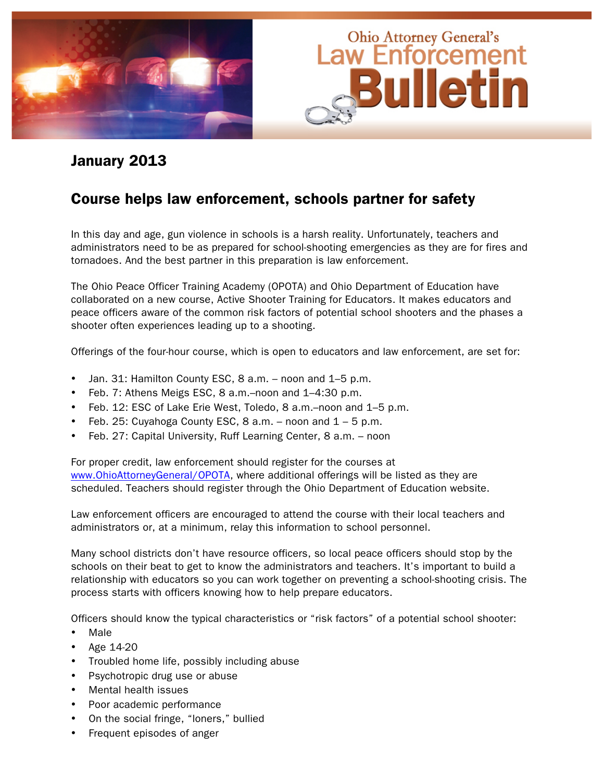

### January 2013

### Course helps law enforcement, schools partner for safety

In this day and age, gun violence in schools is a harsh reality. Unfortunately, teachers and administrators need to be as prepared for school-shooting emergencies as they are for fires and tornadoes. And the best partner in this preparation is law enforcement.

The Ohio Peace Officer Training Academy (OPOTA) and Ohio Department of Education have collaborated on a new course, Active Shooter Training for Educators. It makes educators and peace officers aware of the common risk factors of potential school shooters and the phases a shooter often experiences leading up to a shooting.

Offerings of the four-hour course, which is open to educators and law enforcement, are set for:

- Jan. 31: Hamilton County ESC, 8 a.m. noon and 1–5 p.m.
- Feb. 7: Athens Meigs ESC, 8 a.m.–noon and 1–4:30 p.m.
- Feb. 12: ESC of Lake Erie West, Toledo, 8 a.m.–noon and 1–5 p.m.
- Feb. 25: Cuyahoga County ESC, 8 a.m. noon and  $1 5$  p.m.
- Feb. 27: Capital University, Ruff Learning Center, 8 a.m. noon

For proper credit, law enforcement should register for the courses at www.OhioAttorneyGeneral/OPOTA, where additional offerings will be listed as they are scheduled. Teachers should register through the Ohio Department of Education website.

Law enforcement officers are encouraged to attend the course with their local teachers and administrators or, at a minimum, relay this information to school personnel.

Many school districts don't have resource officers, so local peace officers should stop by the schools on their beat to get to know the administrators and teachers. It's important to build a relationship with educators so you can work together on preventing a school-shooting crisis. The process starts with officers knowing how to help prepare educators.

Officers should know the typical characteristics or "risk factors" of a potential school shooter:

- Male
- Age 14-20
- Troubled home life, possibly including abuse
- Psychotropic drug use or abuse
- Mental health issues
- Poor academic performance
- On the social fringe, "loners," bullied
- Frequent episodes of anger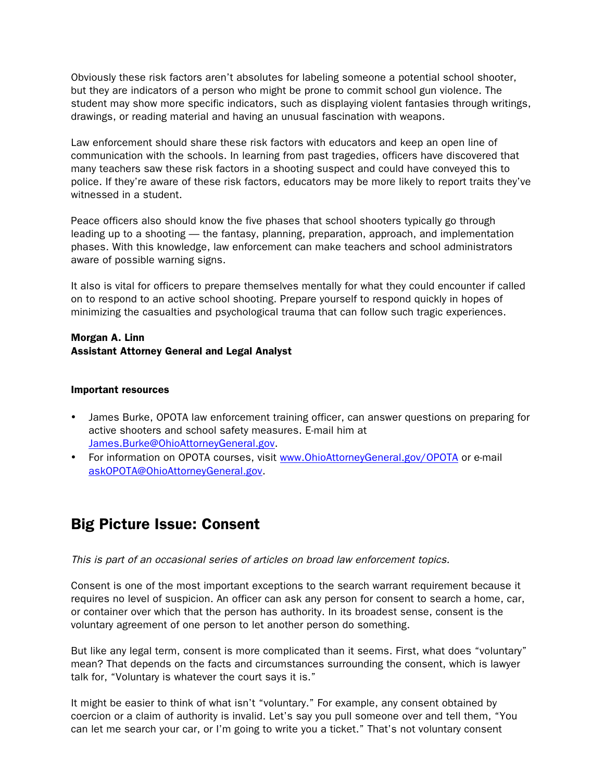Obviously these risk factors aren't absolutes for labeling someone a potential school shooter, but they are indicators of a person who might be prone to commit school gun violence. The student may show more specific indicators, such as displaying violent fantasies through writings, drawings, or reading material and having an unusual fascination with weapons.

Law enforcement should share these risk factors with educators and keep an open line of communication with the schools. In learning from past tragedies, officers have discovered that many teachers saw these risk factors in a shooting suspect and could have conveyed this to police. If they're aware of these risk factors, educators may be more likely to report traits they've witnessed in a student.

Peace officers also should know the five phases that school shooters typically go through leading up to a shooting — the fantasy, planning, preparation, approach, and implementation phases. With this knowledge, law enforcement can make teachers and school administrators aware of possible warning signs.

It also is vital for officers to prepare themselves mentally for what they could encounter if called on to respond to an active school shooting. Prepare yourself to respond quickly in hopes of minimizing the casualties and psychological trauma that can follow such tragic experiences.

#### Morgan A. Linn Assistant Attorney General and Legal Analyst

#### Important resources

- James Burke, OPOTA law enforcement training officer, can answer questions on preparing for active shooters and school safety measures. E-mail him at James.Burke@OhioAttorneyGeneral.gov.
- For information on OPOTA courses, visit www.OhioAttorneyGeneral.gov/OPOTA or e-mail askOPOTA@OhioAttorneyGeneral.gov.

## Big Picture Issue: Consent

This is part of an occasional series of articles on broad law enforcement topics.

Consent is one of the most important exceptions to the search warrant requirement because it requires no level of suspicion. An officer can ask any person for consent to search a home, car, or container over which that the person has authority. In its broadest sense, consent is the voluntary agreement of one person to let another person do something.

But like any legal term, consent is more complicated than it seems. First, what does "voluntary" mean? That depends on the facts and circumstances surrounding the consent, which is lawyer talk for, "Voluntary is whatever the court says it is."

It might be easier to think of what isn't "voluntary." For example, any consent obtained by coercion or a claim of authority is invalid. Let's say you pull someone over and tell them, "You can let me search your car, or I'm going to write you a ticket." That's not voluntary consent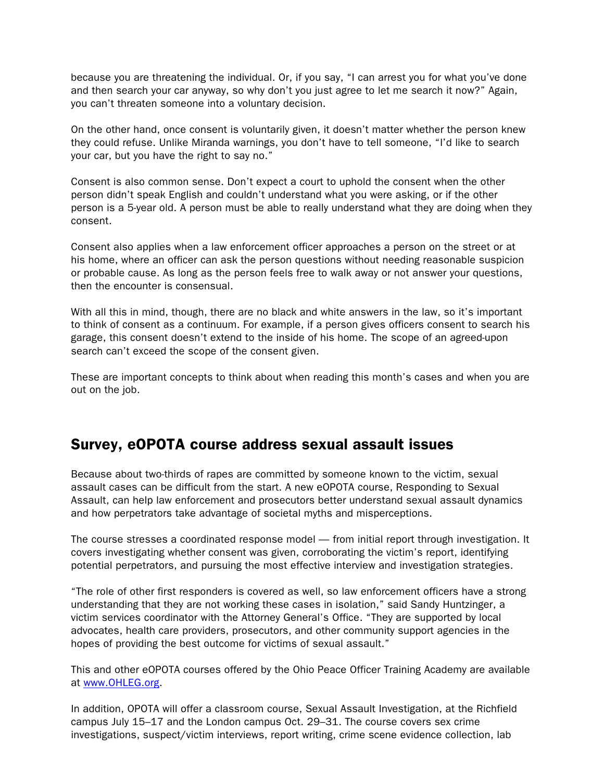because you are threatening the individual. Or, if you say, "I can arrest you for what you've done and then search your car anyway, so why don't you just agree to let me search it now?" Again, you can't threaten someone into a voluntary decision.

On the other hand, once consent is voluntarily given, it doesn't matter whether the person knew they could refuse. Unlike Miranda warnings, you don't have to tell someone, "I'd like to search your car, but you have the right to say no."

Consent is also common sense. Don't expect a court to uphold the consent when the other person didn't speak English and couldn't understand what you were asking, or if the other person is a 5-year old. A person must be able to really understand what they are doing when they consent.

Consent also applies when a law enforcement officer approaches a person on the street or at his home, where an officer can ask the person questions without needing reasonable suspicion or probable cause. As long as the person feels free to walk away or not answer your questions, then the encounter is consensual.

With all this in mind, though, there are no black and white answers in the law, so it's important to think of consent as a continuum. For example, if a person gives officers consent to search his garage, this consent doesn't extend to the inside of his home. The scope of an agreed-upon search can't exceed the scope of the consent given.

These are important concepts to think about when reading this month's cases and when you are out on the job.

### Survey, eOPOTA course address sexual assault issues

Because about two-thirds of rapes are committed by someone known to the victim, sexual assault cases can be difficult from the start. A new eOPOTA course, Responding to Sexual Assault, can help law enforcement and prosecutors better understand sexual assault dynamics and how perpetrators take advantage of societal myths and misperceptions.

The course stresses a coordinated response model — from initial report through investigation. It covers investigating whether consent was given, corroborating the victim's report, identifying potential perpetrators, and pursuing the most effective interview and investigation strategies.

"The role of other first responders is covered as well, so law enforcement officers have a strong understanding that they are not working these cases in isolation," said Sandy Huntzinger, a victim services coordinator with the Attorney General's Office. "They are supported by local advocates, health care providers, prosecutors, and other community support agencies in the hopes of providing the best outcome for victims of sexual assault."

This and other eOPOTA courses offered by the Ohio Peace Officer Training Academy are available at www.OHLEG.org.

In addition, OPOTA will offer a classroom course, Sexual Assault Investigation, at the Richfield campus July 15–17 and the London campus Oct. 29–31. The course covers sex crime investigations, suspect/victim interviews, report writing, crime scene evidence collection, lab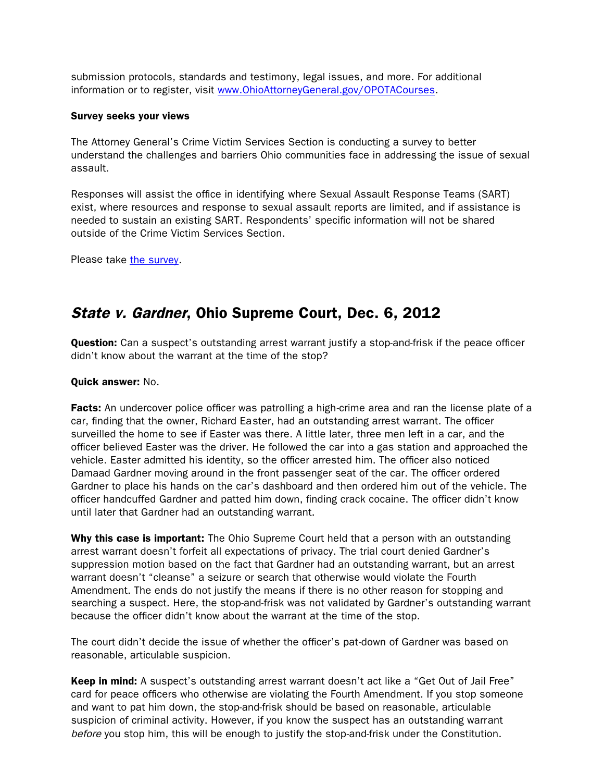submission protocols, standards and testimony, legal issues, and more. For additional information or to register, visit www.OhioAttorneyGeneral.gov/OPOTACourses.

#### Survey seeks your views

The Attorney General's Crime Victim Services Section is conducting a survey to better understand the challenges and barriers Ohio communities face in addressing the issue of sexual assault.

Responses will assist the office in identifying where Sexual Assault Response Teams (SART) exist, where resources and response to sexual assault reports are limited, and if assistance is needed to sustain an existing SART. Respondents' specific information will not be shared outside of the Crime Victim Services Section.

Please take the [survey.](https://www.surveymonkey.com/s/SexualAssaultResponseSurvey)

### State v. Gardner, Ohio Supreme Court, Dec. 6, 2012

**Question:** Can a suspect's outstanding arrest warrant justify a stop-and-frisk if the peace officer didn't know about the warrant at the time of the stop?

#### Quick answer: No.

Facts: An undercover police officer was patrolling a high-crime area and ran the license plate of a car, finding that the owner, Richard Easter, had an outstanding arrest warrant. The officer surveilled the home to see if Easter was there. A little later, three men left in a car, and the officer believed Easter was the driver. He followed the car into a gas station and approached the vehicle. Easter admitted his identity, so the officer arrested him. The officer also noticed Damaad Gardner moving around in the front passenger seat of the car. The officer ordered Gardner to place his hands on the car's dashboard and then ordered him out of the vehicle. The officer handcuffed Gardner and patted him down, finding crack cocaine. The officer didn't know until later that Gardner had an outstanding warrant.

Why this case is important: The Ohio Supreme Court held that a person with an outstanding arrest warrant doesn't forfeit all expectations of privacy. The trial court denied Gardner's suppression motion based on the fact that Gardner had an outstanding warrant, but an arrest warrant doesn't "cleanse" a seizure or search that otherwise would violate the Fourth Amendment. The ends do not justify the means if there is no other reason for stopping and searching a suspect. Here, the stop-and-frisk was not validated by Gardner's outstanding warrant because the officer didn't know about the warrant at the time of the stop.

The court didn't decide the issue of whether the officer's pat-down of Gardner was based on reasonable, articulable suspicion.

Keep in mind: A suspect's outstanding arrest warrant doesn't act like a "Get Out of Jail Free" card for peace officers who otherwise are violating the Fourth Amendment. If you stop someone and want to pat him down, the stop-and-frisk should be based on reasonable, articulable suspicion of criminal activity. However, if you know the suspect has an outstanding warrant before you stop him, this will be enough to justify the stop-and-frisk under the Constitution.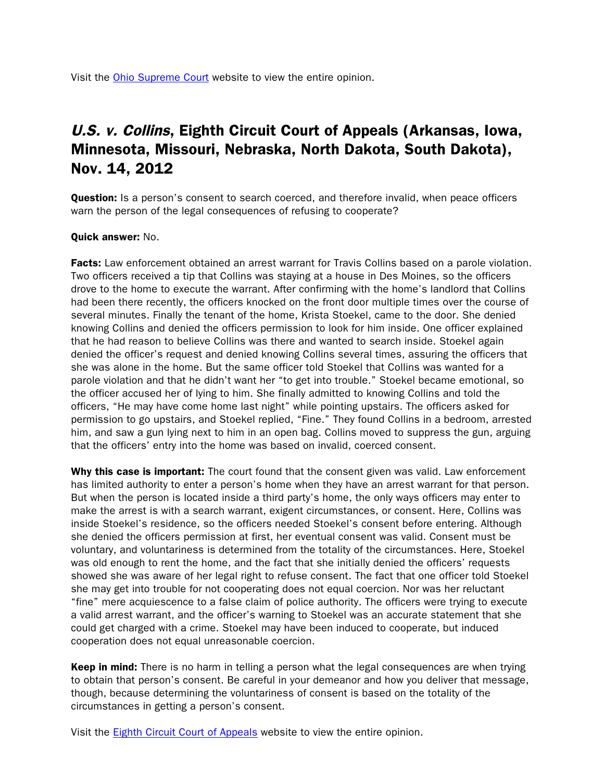Visit the [Ohio Supreme Court](http://www.supremecourt.ohio.gov/rod/docs/pdf/0/2012/2012-ohio-5683.pdf) website to view the entire opinion.

## U.S. v. Collins, Eighth Circuit Court of Appeals (Arkansas, Iowa, Minnesota, Missouri, Nebraska, North Dakota, South Dakota), Nov. 14, 2012

**Question:** Is a person's consent to search coerced, and therefore invalid, when peace officers warn the person of the legal consequences of refusing to cooperate?

#### Quick answer: No.

**Facts:** Law enforcement obtained an arrest warrant for Travis Collins based on a parole violation. Two officers received a tip that Collins was staying at a house in Des Moines, so the officers drove to the home to execute the warrant. After confirming with the home's landlord that Collins had been there recently, the officers knocked on the front door multiple times over the course of several minutes. Finally the tenant of the home, Krista Stoekel, came to the door. She denied knowing Collins and denied the officers permission to look for him inside. One officer explained that he had reason to believe Collins was there and wanted to search inside. Stoekel again denied the officer's request and denied knowing Collins several times, assuring the officers that she was alone in the home. But the same officer told Stoekel that Collins was wanted for a parole violation and that he didn't want her "to get into trouble." Stoekel became emotional, so the officer accused her of lying to him. She finally admitted to knowing Collins and told the officers, "He may have come home last night" while pointing upstairs. The officers asked for permission to go upstairs, and Stoekel replied, "Fine." They found Collins in a bedroom, arrested him, and saw a gun lying next to him in an open bag. Collins moved to suppress the gun, arguing that the officers' entry into the home was based on invalid, coerced consent.

Why this case is important: The court found that the consent given was valid. Law enforcement has limited authority to enter a person's home when they have an arrest warrant for that person. But when the person is located inside a third party's home, the only ways officers may enter to make the arrest is with a search warrant, exigent circumstances, or consent. Here, Collins was inside Stoekel's residence, so the officers needed Stoekel's consent before entering. Although she denied the officers permission at first, her eventual consent was valid. Consent must be voluntary, and voluntariness is determined from the totality of the circumstances. Here, Stoekel was old enough to rent the home, and the fact that she initially denied the officers' requests showed she was aware of her legal right to refuse consent. The fact that one officer told Stoekel she may get into trouble for not cooperating does not equal coercion. Nor was her reluctant "fine" mere acquiescence to a false claim of police authority. The officers were trying to execute a valid arrest warrant, and the officer's warning to Stoekel was an accurate statement that she could get charged with a crime. Stoekel may have been induced to cooperate, but induced cooperation does not equal unreasonable coercion.

Keep in mind: There is no harm in telling a person what the legal consequences are when trying to obtain that person's consent. Be careful in your demeanor and how you deliver that message, though, because determining the voluntariness of consent is based on the totality of the circumstances in getting a person's consent.

Visit the [Eighth Circuit Court of Appeals](http://www.ca8.uscourts.gov/opndir/12/11/121353P.pdf) website to view the entire opinion.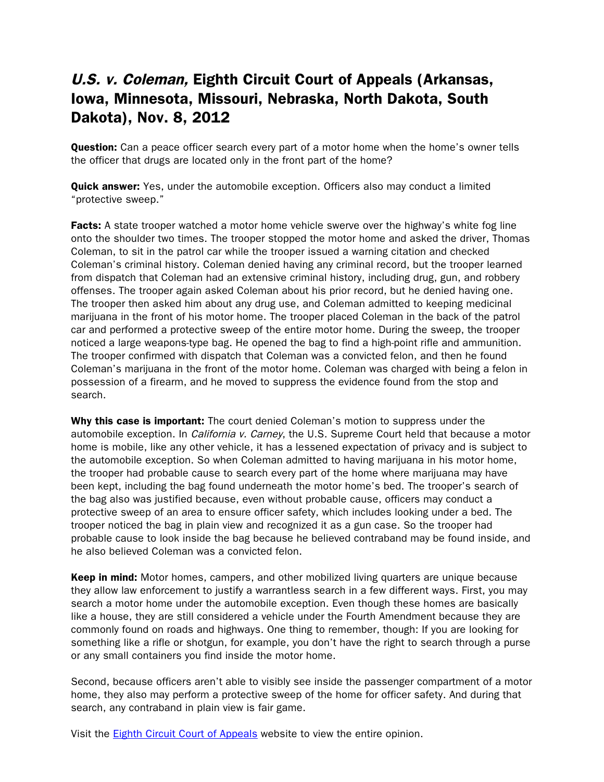## U.S. v. Coleman, Eighth Circuit Court of Appeals (Arkansas, Iowa, Minnesota, Missouri, Nebraska, North Dakota, South Dakota), Nov. 8, 2012

**Question:** Can a peace officer search every part of a motor home when the home's owner tells the officer that drugs are located only in the front part of the home?

**Quick answer:** Yes, under the automobile exception. Officers also may conduct a limited "protective sweep."

**Facts:** A state trooper watched a motor home vehicle swerve over the highway's white fog line onto the shoulder two times. The trooper stopped the motor home and asked the driver, Thomas Coleman, to sit in the patrol car while the trooper issued a warning citation and checked Coleman's criminal history. Coleman denied having any criminal record, but the trooper learned from dispatch that Coleman had an extensive criminal history, including drug, gun, and robbery offenses. The trooper again asked Coleman about his prior record, but he denied having one. The trooper then asked him about any drug use, and Coleman admitted to keeping medicinal marijuana in the front of his motor home. The trooper placed Coleman in the back of the patrol car and performed a protective sweep of the entire motor home. During the sweep, the trooper noticed a large weapons-type bag. He opened the bag to find a high-point rifle and ammunition. The trooper confirmed with dispatch that Coleman was a convicted felon, and then he found Coleman's marijuana in the front of the motor home. Coleman was charged with being a felon in possession of a firearm, and he moved to suppress the evidence found from the stop and search.

Why this case is important: The court denied Coleman's motion to suppress under the automobile exception. In *California v. Carney*, the U.S. Supreme Court held that because a motor home is mobile, like any other vehicle, it has a lessened expectation of privacy and is subject to the automobile exception. So when Coleman admitted to having marijuana in his motor home, the trooper had probable cause to search every part of the home where marijuana may have been kept, including the bag found underneath the motor home's bed. The trooper's search of the bag also was justified because, even without probable cause, officers may conduct a protective sweep of an area to ensure officer safety, which includes looking under a bed. The trooper noticed the bag in plain view and recognized it as a gun case. So the trooper had probable cause to look inside the bag because he believed contraband may be found inside, and he also believed Coleman was a convicted felon.

**Keep in mind:** Motor homes, campers, and other mobilized living quarters are unique because they allow law enforcement to justify a warrantless search in a few different ways. First, you may search a motor home under the automobile exception. Even though these homes are basically like a house, they are still considered a vehicle under the Fourth Amendment because they are commonly found on roads and highways. One thing to remember, though: If you are looking for something like a rifle or shotgun, for example, you don't have the right to search through a purse or any small containers you find inside the motor home.

Second, because officers aren't able to visibly see inside the passenger compartment of a motor home, they also may perform a protective sweep of the home for officer safety. And during that search, any contraband in plain view is fair game.

Visit the Eighth [Circuit Court of Appeals](http://www.ca8.uscourts.gov/opndir/12/11/121400P.pdf) website to view the entire opinion.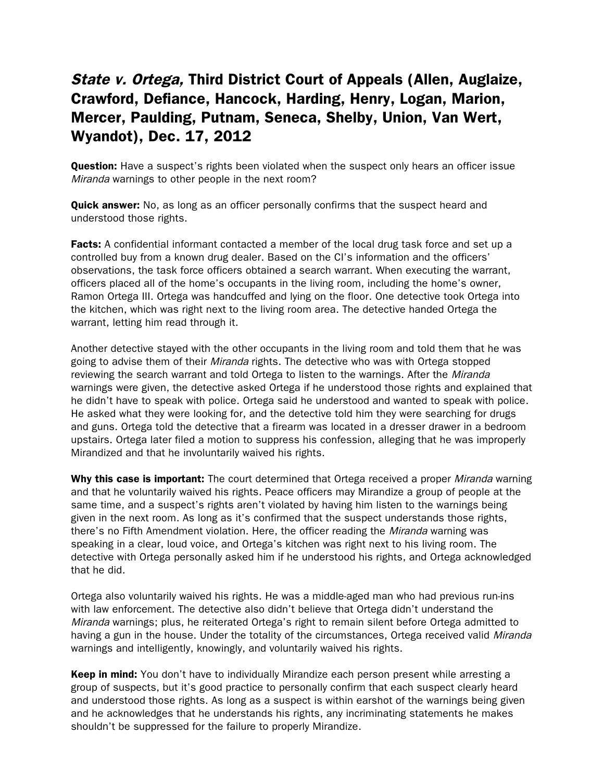## State v. Ortega, Third District Court of Appeals (Allen, Auglaize, Crawford, Defiance, Hancock, Harding, Henry, Logan, Marion, Mercer, Paulding, Putnam, Seneca, Shelby, Union, Van Wert, Wyandot), Dec. 17, 2012

**Question:** Have a suspect's rights been violated when the suspect only hears an officer issue Miranda warnings to other people in the next room?

**Quick answer:** No, as long as an officer personally confirms that the suspect heard and understood those rights.

**Facts:** A confidential informant contacted a member of the local drug task force and set up a controlled buy from a known drug dealer. Based on the CI's information and the officers' observations, the task force officers obtained a search warrant. When executing the warrant, officers placed all of the home's occupants in the living room, including the home's owner, Ramon Ortega III. Ortega was handcuffed and lying on the floor. One detective took Ortega into the kitchen, which was right next to the living room area. The detective handed Ortega the warrant, letting him read through it.

Another detective stayed with the other occupants in the living room and told them that he was going to advise them of their *Miranda* rights. The detective who was with Ortega stopped reviewing the search warrant and told Ortega to listen to the warnings. After the Miranda warnings were given, the detective asked Ortega if he understood those rights and explained that he didn't have to speak with police. Ortega said he understood and wanted to speak with police. He asked what they were looking for, and the detective told him they were searching for drugs and guns. Ortega told the detective that a firearm was located in a dresser drawer in a bedroom upstairs. Ortega later filed a motion to suppress his confession, alleging that he was improperly Mirandized and that he involuntarily waived his rights.

Why this case is important: The court determined that Ortega received a proper *Miranda* warning and that he voluntarily waived his rights. Peace officers may Mirandize a group of people at the same time, and a suspect's rights aren't violated by having him listen to the warnings being given in the next room. As long as it's confirmed that the suspect understands those rights, there's no Fifth Amendment violation. Here, the officer reading the *Miranda* warning was speaking in a clear, loud voice, and Ortega's kitchen was right next to his living room. The detective with Ortega personally asked him if he understood his rights, and Ortega acknowledged that he did.

Ortega also voluntarily waived his rights. He was a middle-aged man who had previous run-ins with law enforcement. The detective also didn't believe that Ortega didn't understand the Miranda warnings; plus, he reiterated Ortega's right to remain silent before Ortega admitted to having a gun in the house. Under the totality of the circumstances, Ortega received valid Miranda warnings and intelligently, knowingly, and voluntarily waived his rights.

**Keep in mind:** You don't have to individually Mirandize each person present while arresting a group of suspects, but it's good practice to personally confirm that each suspect clearly heard and understood those rights. As long as a suspect is within earshot of the warnings being given and he acknowledges that he understands his rights, any incriminating statements he makes shouldn't be suppressed for the failure to properly Mirandize.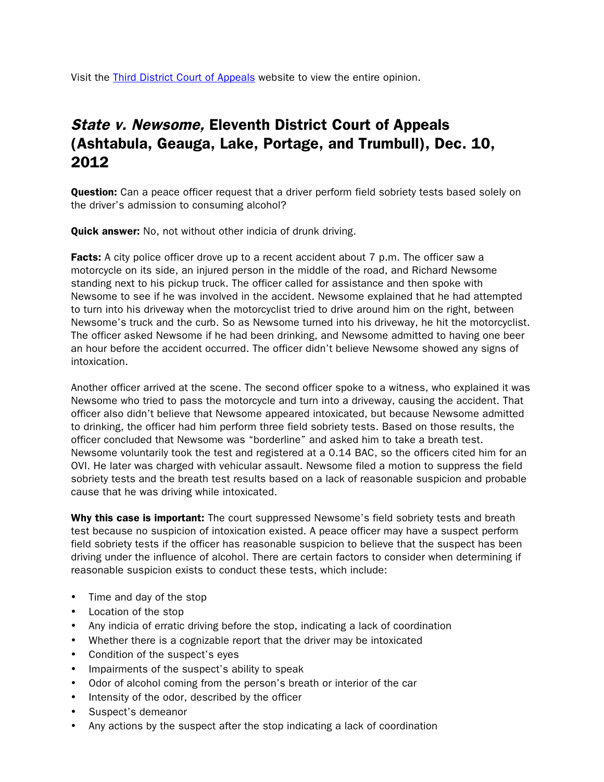Visit the [Third District Court of Appeals](http://www.supremecourt.ohio.gov/rod/docs/pdf/3/2012/2012-ohio-5953.pdf) website to view the entire opinion.

# State v. Newsome, Eleventh District Court of Appeals (Ashtabula, Geauga, Lake, Portage, and Trumbull), Dec. 10, 2012

**Question:** Can a peace officer request that a driver perform field sobriety tests based solely on the driver's admission to consuming alcohol?

**Quick answer:** No, not without other indicia of drunk driving.

**Facts:** A city police officer drove up to a recent accident about 7 p.m. The officer saw a motorcycle on its side, an injured person in the middle of the road, and Richard Newsome standing next to his pickup truck. The officer called for assistance and then spoke with Newsome to see if he was involved in the accident. Newsome explained that he had attempted to turn into his driveway when the motorcyclist tried to drive around him on the right, between Newsome's truck and the curb. So as Newsome turned into his driveway, he hit the motorcyclist. The officer asked Newsome if he had been drinking, and Newsome admitted to having one beer an hour before the accident occurred. The officer didn't believe Newsome showed any signs of intoxication.

Another officer arrived at the scene. The second officer spoke to a witness, who explained it was Newsome who tried to pass the motorcycle and turn into a driveway, causing the accident. That officer also didn't believe that Newsome appeared intoxicated, but because Newsome admitted to drinking, the officer had him perform three field sobriety tests. Based on those results, the officer concluded that Newsome was "borderline" and asked him to take a breath test. Newsome voluntarily took the test and registered at a 0.14 BAC, so the officers cited him for an OVI. He later was charged with vehicular assault. Newsome filed a motion to suppress the field sobriety tests and the breath test results based on a lack of reasonable suspicion and probable cause that he was driving while intoxicated.

Why this case is important: The court suppressed Newsome's field sobriety tests and breath test because no suspicion of intoxication existed. A peace officer may have a suspect perform field sobriety tests if the officer has reasonable suspicion to believe that the suspect has been driving under the influence of alcohol. There are certain factors to consider when determining if reasonable suspicion exists to conduct these tests, which include:

- Time and day of the stop
- Location of the stop
- Any indicia of erratic driving before the stop, indicating a lack of coordination
- Whether there is a cognizable report that the driver may be intoxicated
- Condition of the suspect's eyes
- Impairments of the suspect's ability to speak
- Odor of alcohol coming from the person's breath or interior of the car
- Intensity of the odor, described by the officer
- Suspect's demeanor
- Any actions by the suspect after the stop indicating a lack of coordination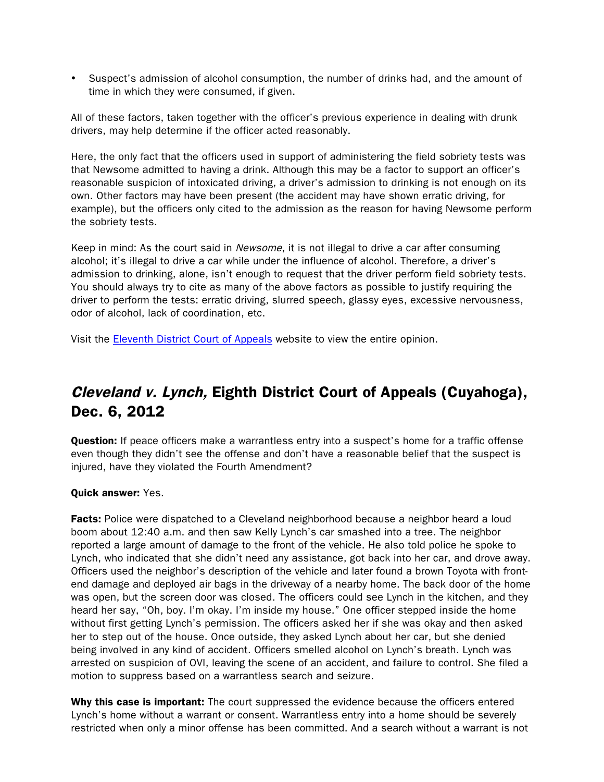• Suspect's admission of alcohol consumption, the number of drinks had, and the amount of time in which they were consumed, if given.

All of these factors, taken together with the officer's previous experience in dealing with drunk drivers, may help determine if the officer acted reasonably.

Here, the only fact that the officers used in support of administering the field sobriety tests was that Newsome admitted to having a drink. Although this may be a factor to support an officer's reasonable suspicion of intoxicated driving, a driver's admission to drinking is not enough on its own. Other factors may have been present (the accident may have shown erratic driving, for example), but the officers only cited to the admission as the reason for having Newsome perform the sobriety tests.

Keep in mind: As the court said in *Newsome*, it is not illegal to drive a car after consuming alcohol; it's illegal to drive a car while under the influence of alcohol. Therefore, a driver's admission to drinking, alone, isn't enough to request that the driver perform field sobriety tests. You should always try to cite as many of the above factors as possible to justify requiring the driver to perform the tests: erratic driving, slurred speech, glassy eyes, excessive nervousness, odor of alcohol, lack of coordination, etc.

Visit the [Eleventh District Court of Appeals](http://www.supremecourt.ohio.gov/rod/docs/pdf/11/2012/2012-ohio-5826.pdf) website to view the entire opinion.

## Cleveland v. Lynch, Eighth District Court of Appeals (Cuyahoga), Dec. 6, 2012

**Question:** If peace officers make a warrantless entry into a suspect's home for a traffic offense even though they didn't see the offense and don't have a reasonable belief that the suspect is injured, have they violated the Fourth Amendment?

#### Quick answer: Yes.

Facts: Police were dispatched to a Cleveland neighborhood because a neighbor heard a loud boom about 12:40 a.m. and then saw Kelly Lynch's car smashed into a tree. The neighbor reported a large amount of damage to the front of the vehicle. He also told police he spoke to Lynch, who indicated that she didn't need any assistance, got back into her car, and drove away. Officers used the neighbor's description of the vehicle and later found a brown Toyota with frontend damage and deployed air bags in the driveway of a nearby home. The back door of the home was open, but the screen door was closed. The officers could see Lynch in the kitchen, and they heard her say, "Oh, boy. I'm okay. I'm inside my house." One officer stepped inside the home without first getting Lynch's permission. The officers asked her if she was okay and then asked her to step out of the house. Once outside, they asked Lynch about her car, but she denied being involved in any kind of accident. Officers smelled alcohol on Lynch's breath. Lynch was arrested on suspicion of OVI, leaving the scene of an accident, and failure to control. She filed a motion to suppress based on a warrantless search and seizure.

Why this case is important: The court suppressed the evidence because the officers entered Lynch's home without a warrant or consent. Warrantless entry into a home should be severely restricted when only a minor offense has been committed. And a search without a warrant is not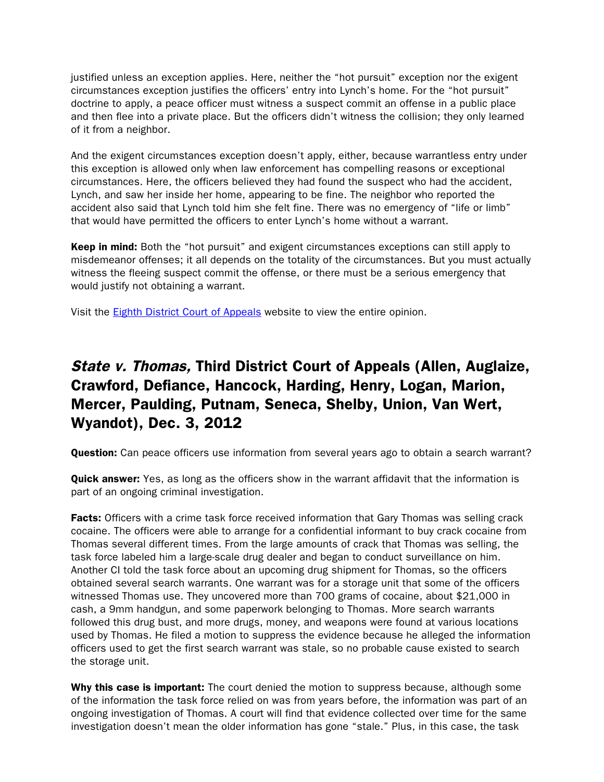justified unless an exception applies. Here, neither the "hot pursuit" exception nor the exigent circumstances exception justifies the officers' entry into Lynch's home. For the "hot pursuit" doctrine to apply, a peace officer must witness a suspect commit an offense in a public place and then flee into a private place. But the officers didn't witness the collision; they only learned of it from a neighbor.

And the exigent circumstances exception doesn't apply, either, because warrantless entry under this exception is allowed only when law enforcement has compelling reasons or exceptional circumstances. Here, the officers believed they had found the suspect who had the accident, Lynch, and saw her inside her home, appearing to be fine. The neighbor who reported the accident also said that Lynch told him she felt fine. There was no emergency of "life or limb" that would have permitted the officers to enter Lynch's home without a warrant.

**Keep in mind:** Both the "hot pursuit" and exigent circumstances exceptions can still apply to misdemeanor offenses; it all depends on the totality of the circumstances. But you must actually witness the fleeing suspect commit the offense, or there must be a serious emergency that would justify not obtaining a warrant.

Visit the [Eighth District Court of Appeals](http://www.supremecourt.ohio.gov/rod/docs/pdf/8/2012/2012-ohio-5740.pdf) website to view the entire opinion.

# State v. Thomas, Third District Court of Appeals (Allen, Auglaize, Crawford, Defiance, Hancock, Harding, Henry, Logan, Marion, Mercer, Paulding, Putnam, Seneca, Shelby, Union, Van Wert, Wyandot), Dec. 3, 2012

**Question:** Can peace officers use information from several years ago to obtain a search warrant?

**Quick answer:** Yes, as long as the officers show in the warrant affidavit that the information is part of an ongoing criminal investigation.

**Facts:** Officers with a crime task force received information that Gary Thomas was selling crack cocaine. The officers were able to arrange for a confidential informant to buy crack cocaine from Thomas several different times. From the large amounts of crack that Thomas was selling, the task force labeled him a large-scale drug dealer and began to conduct surveillance on him. Another CI told the task force about an upcoming drug shipment for Thomas, so the officers obtained several search warrants. One warrant was for a storage unit that some of the officers witnessed Thomas use. They uncovered more than 700 grams of cocaine, about \$21,000 in cash, a 9mm handgun, and some paperwork belonging to Thomas. More search warrants followed this drug bust, and more drugs, money, and weapons were found at various locations used by Thomas. He filed a motion to suppress the evidence because he alleged the information officers used to get the first search warrant was stale, so no probable cause existed to search the storage unit.

Why this case is important: The court denied the motion to suppress because, although some of the information the task force relied on was from years before, the information was part of an ongoing investigation of Thomas. A court will find that evidence collected over time for the same investigation doesn't mean the older information has gone "stale." Plus, in this case, the task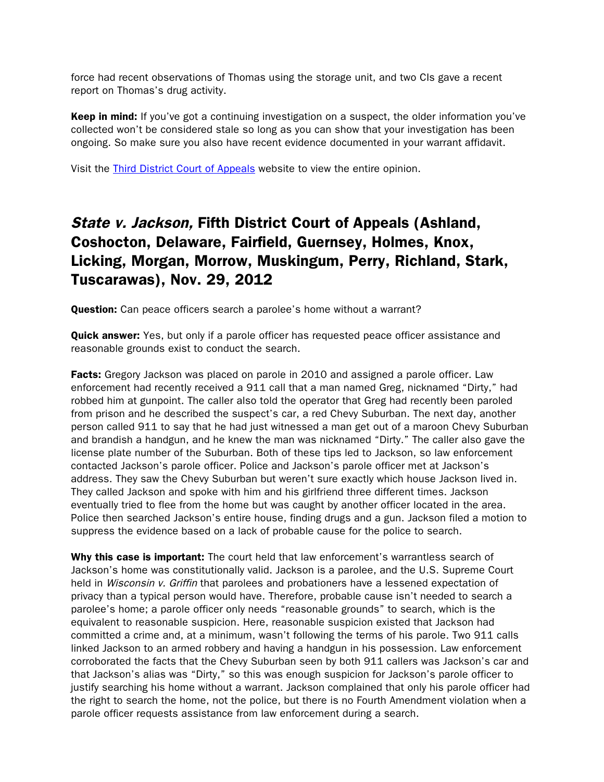force had recent observations of Thomas using the storage unit, and two CIs gave a recent report on Thomas's drug activity.

**Keep in mind:** If you've got a continuing investigation on a suspect, the older information you've collected won't be considered stale so long as you can show that your investigation has been ongoing. So make sure you also have recent evidence documented in your warrant affidavit.

Visit the [Third District Court of Appeals](http://www.supremecourt.ohio.gov/rod/docs/pdf/3/2012/2012-ohio-5577.pdf) website to view the entire opinion.

## State v. Jackson, Fifth District Court of Appeals (Ashland, Coshocton, Delaware, Fairfield, Guernsey, Holmes, Knox, Licking, Morgan, Morrow, Muskingum, Perry, Richland, Stark, Tuscarawas), Nov. 29, 2012

**Question:** Can peace officers search a parolee's home without a warrant?

**Quick answer:** Yes, but only if a parole officer has requested peace officer assistance and reasonable grounds exist to conduct the search.

Facts: Gregory Jackson was placed on parole in 2010 and assigned a parole officer. Law enforcement had recently received a 911 call that a man named Greg, nicknamed "Dirty," had robbed him at gunpoint. The caller also told the operator that Greg had recently been paroled from prison and he described the suspect's car, a red Chevy Suburban. The next day, another person called 911 to say that he had just witnessed a man get out of a maroon Chevy Suburban and brandish a handgun, and he knew the man was nicknamed "Dirty." The caller also gave the license plate number of the Suburban. Both of these tips led to Jackson, so law enforcement contacted Jackson's parole officer. Police and Jackson's parole officer met at Jackson's address. They saw the Chevy Suburban but weren't sure exactly which house Jackson lived in. They called Jackson and spoke with him and his girlfriend three different times. Jackson eventually tried to flee from the home but was caught by another officer located in the area. Police then searched Jackson's entire house, finding drugs and a gun. Jackson filed a motion to suppress the evidence based on a lack of probable cause for the police to search.

Why this case is important: The court held that law enforcement's warrantless search of Jackson's home was constitutionally valid. Jackson is a parolee, and the U.S. Supreme Court held in *Wisconsin v. Griffin* that parolees and probationers have a lessened expectation of privacy than a typical person would have. Therefore, probable cause isn't needed to search a parolee's home; a parole officer only needs "reasonable grounds" to search, which is the equivalent to reasonable suspicion. Here, reasonable suspicion existed that Jackson had committed a crime and, at a minimum, wasn't following the terms of his parole. Two 911 calls linked Jackson to an armed robbery and having a handgun in his possession. Law enforcement corroborated the facts that the Chevy Suburban seen by both 911 callers was Jackson's car and that Jackson's alias was "Dirty," so this was enough suspicion for Jackson's parole officer to justify searching his home without a warrant. Jackson complained that only his parole officer had the right to search the home, not the police, but there is no Fourth Amendment violation when a parole officer requests assistance from law enforcement during a search.